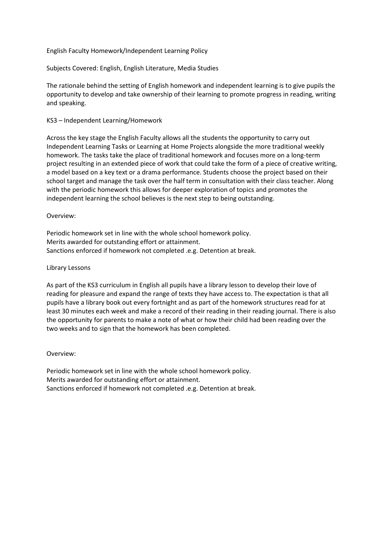English Faculty Homework/Independent Learning Policy

Subjects Covered: English, English Literature, Media Studies

The rationale behind the setting of English homework and independent learning is to give pupils the opportunity to develop and take ownership of their learning to promote progress in reading, writing and speaking.

### KS3 – Independent Learning/Homework

Across the key stage the English Faculty allows all the students the opportunity to carry out Independent Learning Tasks or Learning at Home Projects alongside the more traditional weekly homework. The tasks take the place of traditional homework and focuses more on a long-term project resulting in an extended piece of work that could take the form of a piece of creative writing, a model based on a key text or a drama performance. Students choose the project based on their school target and manage the task over the half term in consultation with their class teacher. Along with the periodic homework this allows for deeper exploration of topics and promotes the independent learning the school believes is the next step to being outstanding.

# Overview:

Periodic homework set in line with the whole school homework policy. Merits awarded for outstanding effort or attainment. Sanctions enforced if homework not completed .e.g. Detention at break.

# Library Lessons

As part of the KS3 curriculum in English all pupils have a library lesson to develop their love of reading for pleasure and expand the range of texts they have access to. The expectation is that all pupils have a library book out every fortnight and as part of the homework structures read for at least 30 minutes each week and make a record of their reading in their reading journal. There is also the opportunity for parents to make a note of what or how their child had been reading over the two weeks and to sign that the homework has been completed.

### Overview:

Periodic homework set in line with the whole school homework policy. Merits awarded for outstanding effort or attainment. Sanctions enforced if homework not completed .e.g. Detention at break.